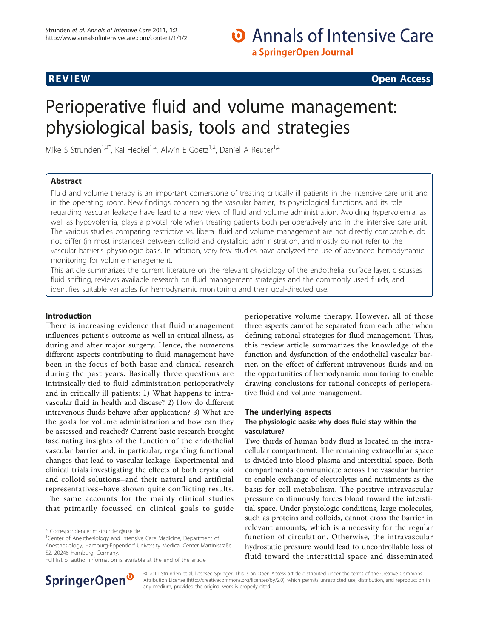## O Annals of Intensive Care a SpringerOpen Journal

**REVIEW REVIEW CONSTRUCTER CONSTRUCTION** 

# Perioperative fluid and volume management: physiological basis, tools and strategies

Mike S Strunden<sup>1,2\*</sup>, Kai Heckel<sup>1,2</sup>, Alwin E Goetz<sup>1,2</sup>, Daniel A Reuter<sup>1,2</sup>

### Abstract

Fluid and volume therapy is an important cornerstone of treating critically ill patients in the intensive care unit and in the operating room. New findings concerning the vascular barrier, its physiological functions, and its role regarding vascular leakage have lead to a new view of fluid and volume administration. Avoiding hypervolemia, as well as hypovolemia, plays a pivotal role when treating patients both perioperatively and in the intensive care unit. The various studies comparing restrictive vs. liberal fluid and volume management are not directly comparable, do not differ (in most instances) between colloid and crystalloid administration, and mostly do not refer to the vascular barrier's physiologic basis. In addition, very few studies have analyzed the use of advanced hemodynamic monitoring for volume management.

This article summarizes the current literature on the relevant physiology of the endothelial surface layer, discusses fluid shifting, reviews available research on fluid management strategies and the commonly used fluids, and identifies suitable variables for hemodynamic monitoring and their goal-directed use.

#### Introduction

There is increasing evidence that fluid management influences patient's outcome as well in critical illness, as during and after major surgery. Hence, the numerous different aspects contributing to fluid management have been in the focus of both basic and clinical research during the past years. Basically three questions are intrinsically tied to fluid administration perioperatively and in critically ill patients: 1) What happens to intravascular fluid in health and disease? 2) How do different intravenous fluids behave after application? 3) What are the goals for volume administration and how can they be assessed and reached? Current basic research brought fascinating insights of the function of the endothelial vascular barrier and, in particular, regarding functional changes that lead to vascular leakage. Experimental and clinical trials investigating the effects of both crystalloid and colloid solutions–and their natural and artificial representatives–have shown quite conflicting results. The same accounts for the mainly clinical studies that primarily focussed on clinical goals to guide



#### The underlying aspects

#### The physiologic basis: why does fluid stay within the vasculature?

Two thirds of human body fluid is located in the intracellular compartment. The remaining extracellular space is divided into blood plasma and interstitial space. Both compartments communicate across the vascular barrier to enable exchange of electrolytes and nutriments as the basis for cell metabolism. The positive intravascular pressure continuously forces blood toward the interstitial space. Under physiologic conditions, large molecules, such as proteins and colloids, cannot cross the barrier in relevant amounts, which is a necessity for the regular function of circulation. Otherwise, the intravascular hydrostatic pressure would lead to uncontrollable loss of fluid toward the interstitial space and disseminated



© 2011 Strunden et al; licensee Springer. This is an Open Access article distributed under the terms of the Creative Commons Attribution License [\(http://creativecommons.org/licenses/by/2.0](http://creativecommons.org/licenses/by/2.0)), which permits unrestricted use, distribution, and reproduction in any medium, provided the original work is properly cited.

<sup>\*</sup> Correspondence: [m.strunden@uke.de](mailto:m.strunden@uke.de)

<sup>&</sup>lt;sup>1</sup>Center of Anesthesiology and Intensive Care Medicine, Department of Anesthesiology, Hamburg-Eppendorf University Medical Center Martinistraße 52, 20246 Hamburg, Germany.

Full list of author information is available at the end of the article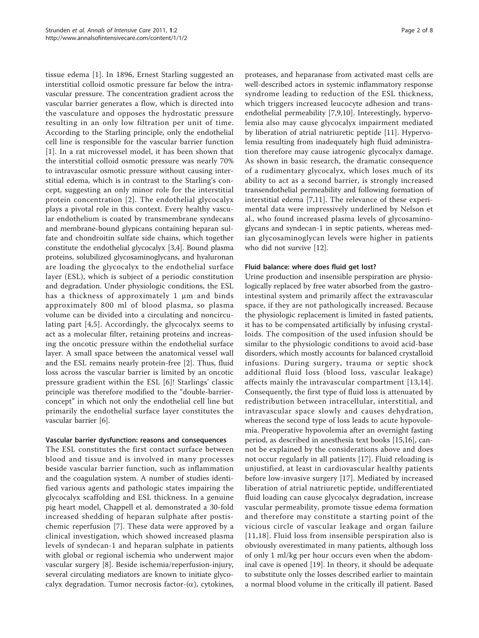tissue edema [[1](#page-5-0)]. In 1896, Ernest Starling suggested an interstitial colloid osmotic pressure far below the intravascular pressure. The concentration gradient across the vascular barrier generates a flow, which is directed into the vasculature and opposes the hydrostatic pressure resulting in an only low filtration per unit of time. According to the Starling principle, only the endothelial cell line is responsible for the vascular barrier function [[1](#page-5-0)]. In a rat microvessel model, it has been shown that the interstitial colloid osmotic pressure was nearly 70% to intravascular osmotic pressure without causing interstitial edema, which is in contrast to the Starling's concept, suggesting an only minor role for the interstitial protein concentration [[2](#page-5-0)]. The endothelial glycocalyx plays a pivotal role in this context. Every healthy vascular endothelium is coated by transmembrane syndecans and membrane-bound glypicans containing heparan sulfate and chondroitin sulfate side chains, which together constitute the endothelial glycocalyx [[3,4\]](#page-6-0). Bound plasma proteins, solubilized glycosaminoglycans, and hyaluronan are loading the glycocalyx to the endothelial surface layer (ESL), which is subject of a periodic constitution and degradation. Under physiologic conditions, the ESL has a thickness of approximately 1 μm and binds approximately 800 ml of blood plasma, so plasma volume can be divided into a circulating and noncirculating part [[4,5](#page-6-0)]. Accordingly, the glycocalyx seems to act as a molecular filter, retaining proteins and increasing the oncotic pressure within the endothelial surface layer. A small space between the anatomical vessel wall and the ESL remains nearly protein-free [\[2](#page-5-0)]. Thus, fluid loss across the vascular barrier is limited by an oncotic pressure gradient within the ESL [[6](#page-6-0)]! Starlings' classic principle was therefore modified to the "double-barrierconcept" in which not only the endothelial cell line but primarily the endothelial surface layer constitutes the vascular barrier [[6](#page-6-0)].

#### Vascular barrier dysfunction: reasons and consequences

The ESL constitutes the first contact surface between blood and tissue and is involved in many processes beside vascular barrier function, such as inflammation and the coagulation system. A number of studies identified various agents and pathologic states impairing the glycocalyx scaffolding and ESL thickness. In a genuine pig heart model, Chappell et al. demonstrated a 30-fold increased shedding of heparan sulphate after postischemic reperfusion [\[7](#page-6-0)]. These data were approved by a clinical investigation, which showed increased plasma levels of syndecan-1 and heparan sulphate in patients with global or regional ischemia who underwent major vascular surgery [\[8](#page-6-0)]. Beside ischemia/reperfusion-injury, several circulating mediators are known to initiate glycocalyx degradation. Tumor necrosis factor- $(\alpha)$ , cytokines,

proteases, and heparanase from activated mast cells are well-described actors in systemic inflammatory response syndrome leading to reduction of the ESL thickness, which triggers increased leucocyte adhesion and transendothelial permeability [[7,9,10\]](#page-6-0). Interestingly, hypervolemia also may cause glycocalyx impairment mediated by liberation of atrial natriuretic peptide [[11\]](#page-6-0). Hypervolemia resulting from inadequately high fluid administration therefore may cause iatrogenic glycocalyx damage. As shown in basic research, the dramatic consequence of a rudimentary glycocalyx, which loses much of its ability to act as a second barrier, is strongly increased transendothelial permeability and following formation of interstitial edema [\[7](#page-6-0),[11\]](#page-6-0). The relevance of these experimental data were impressively underlined by Nelson et al., who found increased plasma levels of glycosaminoglycans and syndecan-1 in septic patients, whereas median glycosaminoglycan levels were higher in patients who did not survive [\[12\]](#page-6-0).

### Fluid balance: where does fluid get lost?

Urine production and insensible perspiration are physiologically replaced by free water absorbed from the gastrointestinal system and primarily affect the extravascular space, if they are not pathologically increased. Because the physiologic replacement is limited in fasted patients, it has to be compensated artificially by infusing crystalloids. The composition of the used infusion should be similar to the physiologic conditions to avoid acid-base disorders, which mostly accounts for balanced crystalloid infusions. During surgery, trauma or septic shock additional fluid loss (blood loss, vascular leakage) affects mainly the intravascular compartment [[13](#page-6-0),[14\]](#page-6-0). Consequently, the first type of fluid loss is attenuated by redistribution between intracellular, interstitial, and intravascular space slowly and causes dehydration, whereas the second type of loss leads to acute hypovolemia. Preoperative hypovolemia after an overnight fasting period, as described in anesthesia text books [\[15,16\]](#page-6-0), cannot be explained by the considerations above and does not occur regularly in all patients [[17\]](#page-6-0). Fluid reloading is unjustified, at least in cardiovascular healthy patients before low-invasive surgery [[17\]](#page-6-0). Mediated by increased liberation of atrial natriuretic peptide, undifferentiated fluid loading can cause glycocalyx degradation, increase vascular permeability, promote tissue edema formation and therefore may constitute a starting point of the vicious circle of vascular leakage and organ failure [[11,18\]](#page-6-0). Fluid loss from insensible perspiration also is obviously overestimated in many patients, although loss of only 1 ml/kg per hour occurs even when the abdominal cave is opened [[19\]](#page-6-0). In theory, it should be adequate to substitute only the losses described earlier to maintain a normal blood volume in the critically ill patient. Based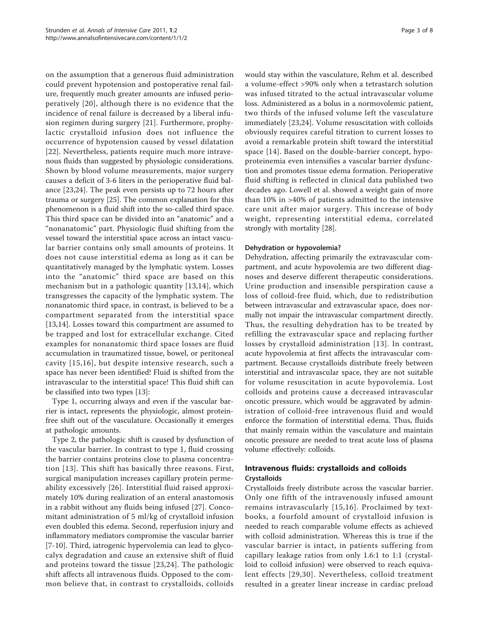on the assumption that a generous fluid administration could prevent hypotension and postoperative renal failure, frequently much greater amounts are infused perioperatively [[20\]](#page-6-0), although there is no evidence that the incidence of renal failure is decreased by a liberal infusion regimen during surgery [[21\]](#page-6-0). Furthermore, prophylactic crystalloid infusion does not influence the occurrence of hypotension caused by vessel dilatation [[22](#page-6-0)]. Nevertheless, patients require much more intravenous fluids than suggested by physiologic considerations. Shown by blood volume measurements, major surgery causes a deficit of 3-6 liters in the perioperative fluid balance [[23](#page-6-0),[24\]](#page-6-0). The peak even persists up to 72 hours after trauma or surgery [[25](#page-6-0)]. The common explanation for this phenomenon is a fluid shift into the so-called third space. This third space can be divided into an "anatomic" and a "nonanatomic" part. Physiologic fluid shifting from the vessel toward the interstitial space across an intact vascular barrier contains only small amounts of proteins. It does not cause interstitial edema as long as it can be quantitatively managed by the lymphatic system. Losses into the "anatomic" third space are based on this mechanism but in a pathologic quantity [[13,14\]](#page-6-0), which transgresses the capacity of the lymphatic system. The nonanatomic third space, in contrast, is believed to be a compartment separated from the interstitial space [[13,14](#page-6-0)]. Losses toward this compartment are assumed to be trapped and lost for extracellular exchange. Cited examples for nonanatomic third space losses are fluid accumulation in traumatized tissue, bowel, or peritoneal cavity [[15](#page-6-0),[16](#page-6-0)], but despite intensive research, such a space has never been identified! Fluid is shifted from the intravascular to the interstitial space! This fluid shift can be classified into two types [\[13](#page-6-0)]:

Type 1, occurring always and even if the vascular barrier is intact, represents the physiologic, almost proteinfree shift out of the vasculature. Occasionally it emerges at pathologic amounts.

Type 2, the pathologic shift is caused by dysfunction of the vascular barrier. In contrast to type 1, fluid crossing the barrier contains proteins close to plasma concentration [[13\]](#page-6-0). This shift has basically three reasons. First, surgical manipulation increases capillary protein permeability excessively [[26](#page-6-0)]. Interstitial fluid raised approximately 10% during realization of an enteral anastomosis in a rabbit without any fluids being infused [[27\]](#page-6-0). Concomitant administration of 5 ml/kg of crystalloid infusion even doubled this edema. Second, reperfusion injury and inflammatory mediators compromise the vascular barrier [[7-10](#page-6-0)]. Third, iatrogenic hypervolemia can lead to glycocalyx degradation and cause an extensive shift of fluid and proteins toward the tissue [[23](#page-6-0),[24](#page-6-0)]. The pathologic shift affects all intravenous fluids. Opposed to the common believe that, in contrast to crystalloids, colloids would stay within the vasculature, Rehm et al. described a volume-effect >90% only when a tetrastarch solution was infused titrated to the actual intravascular volume loss. Administered as a bolus in a normovolemic patient, two thirds of the infused volume left the vasculature immediately [\[23](#page-6-0),[24\]](#page-6-0). Volume resuscitation with colloids obviously requires careful titration to current losses to avoid a remarkable protein shift toward the interstitial space [\[14](#page-6-0)]. Based on the double-barrier concept, hypoproteinemia even intensifies a vascular barrier dysfunction and promotes tissue edema formation. Perioperative fluid shifting is reflected in clinical data published two decades ago. Lowell et al. showed a weight gain of more than 10% in >40% of patients admitted to the intensive care unit after major surgery. This increase of body weight, representing interstitial edema, correlated strongly with mortality [[28](#page-6-0)].

#### Dehydration or hypovolemia?

Dehydration, affecting primarily the extravascular compartment, and acute hypovolemia are two different diagnoses and deserve different therapeutic considerations. Urine production and insensible perspiration cause a loss of colloid-free fluid, which, due to redistribution between intravascular and extravascular space, does normally not impair the intravascular compartment directly. Thus, the resulting dehydration has to be treated by refilling the extravascular space and replacing further losses by crystalloid administration [[13](#page-6-0)]. In contrast, acute hypovolemia at first affects the intravascular compartment. Because crystalloids distribute freely between interstitial and intravascular space, they are not suitable for volume resuscitation in acute hypovolemia. Lost colloids and proteins cause a decreased intravascular oncotic pressure, which would be aggravated by administration of colloid-free intravenous fluid and would enforce the formation of interstitial edema. Thus, fluids that mainly remain within the vasculature and maintain oncotic pressure are needed to treat acute loss of plasma volume effectively: colloids.

#### Intravenous fluids: crystalloids and colloids Crystalloids

Crystalloids freely distribute across the vascular barrier. Only one fifth of the intravenously infused amount remains intravascularly [[15,16](#page-6-0)]. Proclaimed by textbooks, a fourfold amount of crystalloid infusion is needed to reach comparable volume effects as achieved with colloid administration. Whereas this is true if the vascular barrier is intact, in patients suffering from capillary leakage ratios from only 1.6:1 to 1:1 (crystalloid to colloid infusion) were observed to reach equivalent effects [[29](#page-6-0),[30\]](#page-6-0). Nevertheless, colloid treatment resulted in a greater linear increase in cardiac preload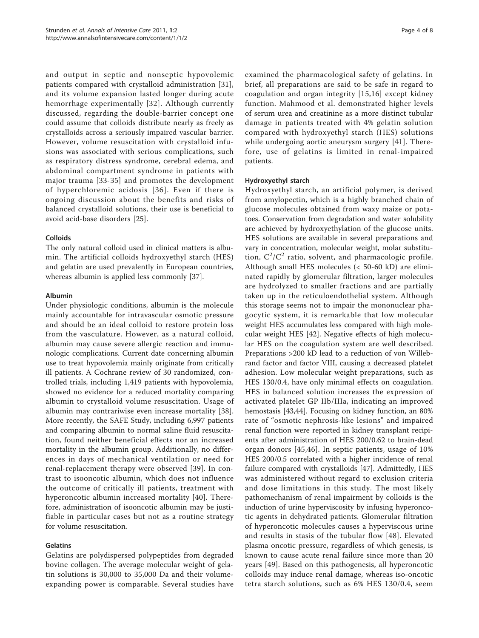and output in septic and nonseptic hypovolemic patients compared with crystalloid administration [[31\]](#page-6-0), and its volume expansion lasted longer during acute hemorrhage experimentally [\[32\]](#page-6-0). Although currently discussed, regarding the double-barrier concept one could assume that colloids distribute nearly as freely as crystalloids across a seriously impaired vascular barrier. However, volume resuscitation with crystalloid infusions was associated with serious complications, such as respiratory distress syndrome, cerebral edema, and abdominal compartment syndrome in patients with major trauma [[33](#page-6-0)-[35\]](#page-6-0) and promotes the development of hyperchloremic acidosis [[36\]](#page-6-0). Even if there is ongoing discussion about the benefits and risks of balanced crystalloid solutions, their use is beneficial to avoid acid-base disorders [[25\]](#page-6-0).

#### Colloids

The only natural colloid used in clinical matters is albumin. The artificial colloids hydroxyethyl starch (HES) and gelatin are used prevalently in European countries, whereas albumin is applied less commonly [[37](#page-6-0)].

#### Albumin

Under physiologic conditions, albumin is the molecule mainly accountable for intravascular osmotic pressure and should be an ideal colloid to restore protein loss from the vasculature. However, as a natural colloid, albumin may cause severe allergic reaction and immunologic complications. Current date concerning albumin use to treat hypovolemia mainly originate from critically ill patients. A Cochrane review of 30 randomized, controlled trials, including 1,419 patients with hypovolemia, showed no evidence for a reduced mortality comparing albumin to crystalloid volume resuscitation. Usage of albumin may contrariwise even increase mortality [[38](#page-6-0)]. More recently, the SAFE Study, including 6,997 patients and comparing albumin to normal saline fluid resuscitation, found neither beneficial effects nor an increased mortality in the albumin group. Additionally, no differences in days of mechanical ventilation or need for renal-replacement therapy were observed [[39\]](#page-6-0). In contrast to isooncotic albumin, which does not influence the outcome of critically ill patients, treatment with hyperoncotic albumin increased mortality [\[40\]](#page-6-0). Therefore, administration of isooncotic albumin may be justifiable in particular cases but not as a routine strategy for volume resuscitation.

#### Gelatins

Gelatins are polydispersed polypeptides from degraded bovine collagen. The average molecular weight of gelatin solutions is 30,000 to 35,000 Da and their volumeexpanding power is comparable. Several studies have

examined the pharmacological safety of gelatins. In brief, all preparations are said to be safe in regard to coagulation and organ integrity [[15](#page-6-0),[16\]](#page-6-0) except kidney function. Mahmood et al. demonstrated higher levels of serum urea and creatinine as a more distinct tubular damage in patients treated with 4% gelatin solution compared with hydroxyethyl starch (HES) solutions while undergoing aortic aneurysm surgery [[41](#page-6-0)]. Therefore, use of gelatins is limited in renal-impaired patients.

#### Hydroxyethyl starch

Hydroxyethyl starch, an artificial polymer, is derived from amylopectin, which is a highly branched chain of glucose molecules obtained from waxy maize or potatoes. Conservation from degradation and water solubility are achieved by hydroxyethylation of the glucose units. HES solutions are available in several preparations and vary in concentration, molecular weight, molar substitution,  $C^2/C^2$  ratio, solvent, and pharmacologic profile. Although small HES molecules (< 50-60 kD) are eliminated rapidly by glomerular filtration, larger molecules are hydrolyzed to smaller fractions and are partially taken up in the reticuloendothelial system. Although this storage seems not to impair the mononuclear phagocytic system, it is remarkable that low molecular weight HES accumulates less compared with high molecular weight HES [\[42\]](#page-6-0). Negative effects of high molecular HES on the coagulation system are well described. Preparations >200 kD lead to a reduction of von Willebrand factor and factor VIII, causing a decreased platelet adhesion. Low molecular weight preparations, such as HES 130/0.4, have only minimal effects on coagulation. HES in balanced solution increases the expression of activated platelet GP IIb/IIIa, indicating an improved hemostasis [[43,44](#page-6-0)]. Focusing on kidney function, an 80% rate of "osmotic nephrosis-like lesions" and impaired renal function were reported in kidney transplant recipients after administration of HES 200/0.62 to brain-dead organ donors [\[45,46](#page-6-0)]. In septic patients, usage of 10% HES 200/0.5 correlated with a higher incidence of renal failure compared with crystalloids [[47\]](#page-6-0). Admittedly, HES was administered without regard to exclusion criteria and dose limitations in this study. The most likely pathomechanism of renal impairment by colloids is the induction of urine hyperviscosity by infusing hyperoncotic agents in dehydrated patients. Glomerular filtration of hyperoncotic molecules causes a hyperviscous urine and results in stasis of the tubular flow [\[48\]](#page-7-0). Elevated plasma oncotic pressure, regardless of which genesis, is known to cause acute renal failure since more than 20 years [[49\]](#page-7-0). Based on this pathogenesis, all hyperoncotic colloids may induce renal damage, whereas iso-oncotic tetra starch solutions, such as 6% HES 130/0.4, seem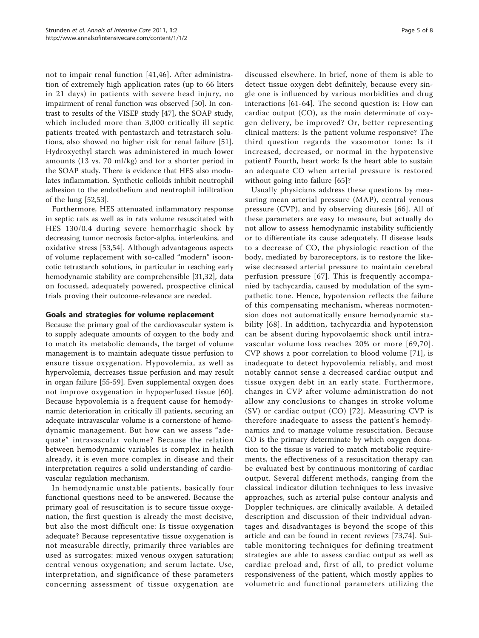not to impair renal function [[41,46](#page-6-0)]. After administration of extremely high application rates (up to 66 liters in 21 days) in patients with severe head injury, no impairment of renal function was observed [[50](#page-7-0)]. In contrast to results of the VISEP study [[47\]](#page-6-0), the SOAP study, which included more than 3,000 critically ill septic patients treated with pentastarch and tetrastarch solutions, also showed no higher risk for renal failure [[51](#page-7-0)]. Hydroxyethyl starch was administered in much lower amounts (13 vs. 70 ml/kg) and for a shorter period in the SOAP study. There is evidence that HES also modulates inflammation. Synthetic colloids inhibit neutrophil adhesion to the endothelium and neutrophil infiltration of the lung [\[52,53\]](#page-7-0).

Furthermore, HES attenuated inflammatory response in septic rats as well as in rats volume resuscitated with HES 130/0.4 during severe hemorrhagic shock by decreasing tumor necrosis factor-alpha, interleukins, and oxidative stress [[53,54\]](#page-7-0). Although advantageous aspects of volume replacement with so-called "modern" isooncotic tetrastarch solutions, in particular in reaching early hemodynamic stability are comprehensible [\[31,32](#page-6-0)], data on focussed, adequately powered, prospective clinical trials proving their outcome-relevance are needed.

#### Goals and strategies for volume replacement

Because the primary goal of the cardiovascular system is to supply adequate amounts of oxygen to the body and to match its metabolic demands, the target of volume management is to maintain adequate tissue perfusion to ensure tissue oxygenation. Hypovolemia, as well as hypervolemia, decreases tissue perfusion and may result in organ failure [[55-59](#page-7-0)]. Even supplemental oxygen does not improve oxygenation in hypoperfused tissue [[60\]](#page-7-0). Because hypovolemia is a frequent cause for hemodynamic deterioration in critically ill patients, securing an adequate intravascular volume is a cornerstone of hemodynamic management. But how can we assess "adequate" intravascular volume? Because the relation between hemodynamic variables is complex in health already, it is even more complex in disease and their interpretation requires a solid understanding of cardiovascular regulation mechanism.

In hemodynamic unstable patients, basically four functional questions need to be answered. Because the primary goal of resuscitation is to secure tissue oxygenation, the first question is already the most decisive, but also the most difficult one: Is tissue oxygenation adequate? Because representative tissue oxygenation is not measurable directly, primarily three variables are used as surrogates: mixed venous oxygen saturation; central venous oxygenation; and serum lactate. Use, interpretation, and significance of these parameters concerning assessment of tissue oxygenation are discussed elsewhere. In brief, none of them is able to detect tissue oxygen debt definitely, because every single one is influenced by various morbidities and drug interactions [[61-64\]](#page-7-0). The second question is: How can cardiac output (CO), as the main determinate of oxygen delivery, be improved? Or, better representing clinical matters: Is the patient volume responsive? The third question regards the vasomotor tone: Is it increased, decreased, or normal in the hypotensive patient? Fourth, heart work: Is the heart able to sustain an adequate CO when arterial pressure is restored without going into failure [\[65](#page-7-0)]?

Usually physicians address these questions by measuring mean arterial pressure (MAP), central venous pressure (CVP), and by observing diuresis [\[66\]](#page-7-0). All of these parameters are easy to measure, but actually do not allow to assess hemodynamic instability sufficiently or to differentiate its cause adequately. If disease leads to a decrease of CO, the physiologic reaction of the body, mediated by baroreceptors, is to restore the likewise decreased arterial pressure to maintain cerebral perfusion pressure [[67](#page-7-0)]. This is frequently accompanied by tachycardia, caused by modulation of the sympathetic tone. Hence, hypotension reflects the failure of this compensating mechanism, whereas normotension does not automatically ensure hemodynamic stability [[68](#page-7-0)]. In addition, tachycardia and hypotension can be absent during hypovolaemic shock until intravascular volume loss reaches 20% or more [[69](#page-7-0),[70\]](#page-7-0). CVP shows a poor correlation to blood volume [[71](#page-7-0)], is inadequate to detect hypovolemia reliably, and most notably cannot sense a decreased cardiac output and tissue oxygen debt in an early state. Furthermore, changes in CVP after volume administration do not allow any conclusions to changes in stroke volume (SV) or cardiac output (CO) [[72\]](#page-7-0). Measuring CVP is therefore inadequate to assess the patient's hemodynamics and to manage volume resuscitation. Because CO is the primary determinate by which oxygen donation to the tissue is varied to match metabolic requirements, the effectiveness of a resuscitation therapy can be evaluated best by continuous monitoring of cardiac output. Several different methods, ranging from the classical indicator dilution techniques to less invasive approaches, such as arterial pulse contour analysis and Doppler techniques, are clinically available. A detailed description and discussion of their individual advantages and disadvantages is beyond the scope of this article and can be found in recent reviews [[73,74\]](#page-7-0). Suitable monitoring techniques for defining treatment strategies are able to assess cardiac output as well as cardiac preload and, first of all, to predict volume responsiveness of the patient, which mostly applies to volumetric and functional parameters utilizing the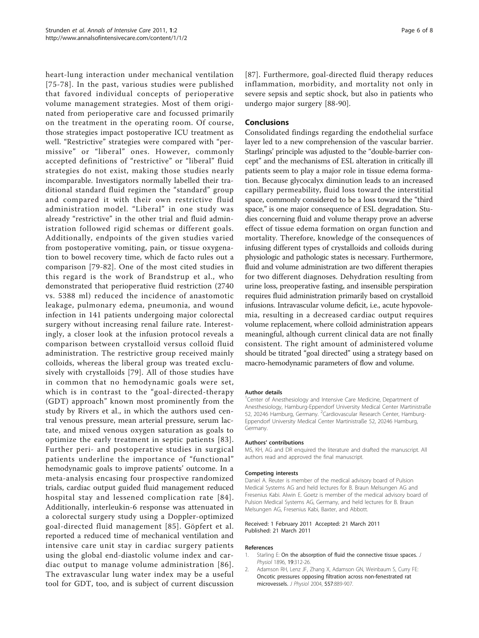<span id="page-5-0"></span>heart-lung interaction under mechanical ventilation [[75-78\]](#page-7-0). In the past, various studies were published that favored individual concepts of perioperative volume management strategies. Most of them originated from perioperative care and focussed primarily on the treatment in the operating room. Of course, those strategies impact postoperative ICU treatment as well. "Restrictive" strategies were compared with "permissive" or "liberal" ones. However, commonly accepted definitions of "restrictive" or "liberal" fluid strategies do not exist, making those studies nearly incomparable. Investigators normally labelled their traditional standard fluid regimen the "standard" group and compared it with their own restrictive fluid administration model. "Liberal" in one study was already "restrictive" in the other trial and fluid administration followed rigid schemas or different goals. Additionally, endpoints of the given studies varied from postoperative vomiting, pain, or tissue oxygenation to bowel recovery time, which de facto rules out a comparison [[79](#page-7-0)-[82\]](#page-7-0). One of the most cited studies in this regard is the work of Brandstrup et al., who demonstrated that perioperative fluid restriction (2740 vs. 5388 ml) reduced the incidence of anastomotic leakage, pulmonary edema, pneumonia, and wound infection in 141 patients undergoing major colorectal surgery without increasing renal failure rate. Interestingly, a closer look at the infusion protocol reveals a comparison between crystalloid versus colloid fluid administration. The restrictive group received mainly colloids, whereas the liberal group was treated exclusively with crystalloids [\[79\]](#page-7-0). All of those studies have in common that no hemodynamic goals were set, which is in contrast to the "goal-directed-therapy (GDT) approach" known most prominently from the study by Rivers et al., in which the authors used central venous pressure, mean arterial pressure, serum lactate, and mixed venous oxygen saturation as goals to optimize the early treatment in septic patients [[83\]](#page-7-0). Further peri- and postoperative studies in surgical patients underline the importance of "functional" hemodynamic goals to improve patients' outcome. In a meta-analysis encasing four prospective randomized trials, cardiac output guided fluid management reduced hospital stay and lessened complication rate [[84\]](#page-7-0). Additionally, interleukin-6 response was attenuated in a colorectal surgery study using a Doppler-optimized goal-directed fluid management [[85\]](#page-7-0). Göpfert et al. reported a reduced time of mechanical ventilation and intensive care unit stay in cardiac surgery patients using the global end-diastolic volume index and cardiac output to manage volume administration [[86\]](#page-7-0). The extravascular lung water index may be a useful tool for GDT, too, and is subject of current discussion

[[87](#page-7-0)]. Furthermore, goal-directed fluid therapy reduces inflammation, morbidity, and mortality not only in severe sepsis and septic shock, but also in patients who undergo major surgery [\[88](#page-7-0)-[90\]](#page-7-0).

#### Conclusions

Consolidated findings regarding the endothelial surface layer led to a new comprehension of the vascular barrier. Starlings' principle was adjusted to the "double-barrier concept" and the mechanisms of ESL alteration in critically ill patients seem to play a major role in tissue edema formation. Because glycocalyx diminution leads to an increased capillary permeability, fluid loss toward the interstitial space, commonly considered to be a loss toward the "third space," is one major consequence of ESL degradation. Studies concerning fluid and volume therapy prove an adverse effect of tissue edema formation on organ function and mortality. Therefore, knowledge of the consequences of infusing different types of crystalloids and colloids during physiologic and pathologic states is necessary. Furthermore, fluid and volume administration are two different therapies for two different diagnoses. Dehydration resulting from urine loss, preoperative fasting, and insensible perspiration requires fluid administration primarily based on crystalloid infusions. Intravascular volume deficit, i.e., acute hypovolemia, resulting in a decreased cardiac output requires volume replacement, where colloid administration appears meaningful, although current clinical data are not finally consistent. The right amount of administered volume should be titrated "goal directed" using a strategy based on macro-hemodynamic parameters of flow and volume.

#### Author details

<sup>1</sup> Center of Anesthesiology and Intensive Care Medicine, Department of Anesthesiology, Hamburg-Eppendorf University Medical Center Martinistraße 52, 20246 Hamburg, Germany. <sup>2</sup>Cardiovascular Research Center, Hamburg-Eppendorf University Medical Center Martinistraße 52, 20246 Hamburg, Germany.

#### Authors' contributions

MS, KH, AG and DR enquired the literature and drafted the manuscript. All authors read and approved the final manuscript.

#### Competing interests

Daniel A. Reuter is member of the medical advisory board of Pulsion Medical Systems AG and held lectures for B. Braun Melsungen AG and Fresenius Kabi. Alwin E. Goetz is member of the medical advisory board of Pulsion Medical Systems AG, Germany, and held lectures for B. Braun Melsungen AG, Fresenius Kabi, Baxter, and Abbott.

#### Received: 1 February 2011 Accepted: 21 March 2011 Published: 21 March 2011

#### References

- 1. Starling E: On the absorption of fluid the connective tissue spaces. J Physiol 1896, 19:312-26.
- 2. Adamson RH, Lenz JF, Zhang X, Adamson GN, Weinbaum S, Curry FE: Oncotic pressures opposing filtration across non-fenestrated rat microvessels. J Physiol 2004, 557:889-907.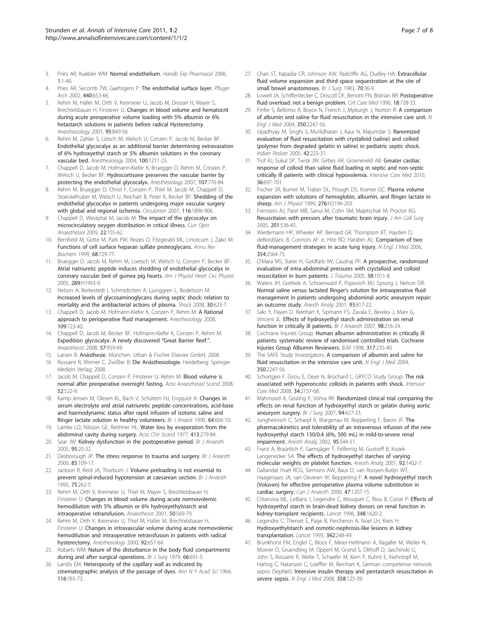- <span id="page-6-0"></span>3. Pries AR, Kuebler WM: Normal endothelium. Handb Exp Pharmacol 2006.  $1:1 - 40$
- 4. Pries AR, Secomb TW, Gaehtgens P: The endothelial surface layer. Pfluger Arch 2002, 440:653-66.
- 5. Rehm M, Haller M, Orth V, Kreimeier U, Jacob M, Dressel H, Mayer S, Brechtelsbauer H, Finsterer U: Changes in blood volume and hematocrit during acute preoperative volume loading with 5% albumin or 6% hetastarch solutions in patients before radical Hysterectomy. Anesthesiology 2001, 95:849-56.
- 6. Rehm M, Zahler S, Lötsch M, Welsch U, Conzen P, Jacob M, Becker BF: Endothelial glycocalyx as an additional barrier determining extravasation of 6% hydroxyethyl starch or 5% albumin solutions in the coronary vascular bed. Anesthesiology 2004, 100:1211-23.
- 7. Chappell D, Jacob M, Hofmann-Kiefer K, Bruegger D, Rehm M, Conzen P, Welsch U, Becker BF: Hydrocortisone preserves the vascular barrier by protecting the endothelial glycocalyx. Anesthesiology 2007, 107:776-84.
- Rehm M, Bruegger D, Christ F, Conzen P, Thiel M, Jacob M, Chappell D, Stoeckelhuber M, Welsch U, Reichart B, Peter K, Becker BF: Shedding of the endothelial glycocalyx in patients undergoing major vascular surgery with global and regional ischemia. Circulation 2007, 116:1896-906.
- Chappell D, Westphal M, Jacob M: The impact of the glycocalyx on microcirculatory oxygen distribution in critical illness. Curr Opin Anaesthesiol 2009, 22:155-62.
- 10. Bernfield M, Gotte M, Park PW, Reizes O, Fitzgerald ML, Lincecum J, Zako M: Functions of cell surface heparan sulfate proteoglycans. Annu Rev Biochem 1999, 68:729-77.
- 11. Bruegger D, Jacob M, Rehm M, Loetsch M, Welsch U, Conzen P, Becker BF: Atrial natriuretic peptide induces shedding of endothelial glycocalyx in coronary vascular bed of guinea pig hearts. Am J Physiol Heart Circ Physiol 2005, 289:H1993-9.
- 12. Nelson A, Berkestedt I, Schmidtchen A, Ljunggren L, Bodelsson M: Increased levels of glycosaminoglycans during septic shock: relation to mortality and the antibacterial actions of plasma. Shock 2008, 30:623-7.
- 13. Chappell D, Jacob M, Hofmann-Kiefer K, Conzen P, Rehm M: A Rational approach to perioperative fluid management. Anesthesiology 2008, 109:723-40.
- 14. Chappell D, Jacob M, Becker BF, Hofmann-Kiefer K, Conzen P, Rehm M: Expedition glycocalyx. A newly discovered "Great Barrier Reef.". Anaesthesist 2008, 57:959-69.
- 15. Larsen R: Anästhesie. München: Urban & Fischer Elsevier GmbH; 2008.
- 16. Rossaint R, Werner C, Zwißler B: Die Anästhesiologie. Heidelberg: Springer Medizin Verlag; 2008.
- 17. Jacob M, Chappell D, Conzen P, Finsterer U, Rehm M: Blood volume is normal after preoperative overnight fasting. Acta Anaesthesiol Scand 2008, 52:522-9.
- 18. Kamp-Jensen M, Olesen KL, Bach V, Schütten HJ, Engquist A: Changes in serum electrolyte and atrial natriuretic peptide concentrations, acid-base and haemodynamic status after rapid infusion of isotonic saline and Ringer lactate solution in healthy volunteers. Br J Anaest 1990, 64:606-10.
- 19. Lamke LO, Nilsson GE, Reithner HL: Water loss by evaporation from the abdominal cavity during surgery. Acta Chir Scand 1977, 413:279-84.
- 20. Sear JW: Kidney dysfunction in the postoperative period. Br J Anaesth 2005, 95:20-32.
- 21. Desborough JP: The stress response to trauma and surgery. Br J Anaesth 2000, 85:109-17.
- 22. Jackson R, Reid JA, Thorburn J: Volume preloading is not essential to prevent spinal-induced hypotension at caesarean section. Br J Anaesth 1995, 75:262-5.
- 23. Rehm M, Orth V, Kreimeier U, Thiel M, Mayer S, Brechtelsbauer H, Finsterer U: Changes in blood volume during acute normovolemic hemodilution with 5% albumin or 6% hydroxyethylstarch and intraoperative retransfusion. Anaesthesist 2001, 50:569-79.
- 24. Rehm M, Orth V, Kreimeier U, Thiel M, Haller M, Brechtelsbauer H, Finsterer U: Changes in intravascular volume during acute normovolemic hemodilution and intraoperative retransfusion in patients with radical hysterectomy. Anesthesiology 2000, 92:657-64.
- 25. Robarts WM: Nature of the disturbance in the body fluid compartments during and after surgical operations. Br J Surg 1979, 66:691-5.
- 26. Landis EM: Heteroposity of the capillary wall as indicated by cinematographic analysis of the passage of dyes. Ann N Y Acad Sci 1964, 116:765-73.
- 27. Chan ST, Kapadia CR, Johnson AW, Radcliffe AG, Dudley HA: Extracellular fluid volume expansion and third space sequestration at the site of small bowel anastomoses. Br J Surg 1983, 70:36-9.
- 28. Lowell JA, Schifferdecker C, Driscoll DF, Benotti PN, Bistrian BR: Postoperative fluid overload: not a benign problem. Crit Care Med 1990, 18:728-33.
- 29. Finfer S, Bellomo R, Boyce N, French J, Myburgh J, Norton R: A comparison of albumin and saline for fluid resuscitation in the intensive care unit. N Engl J Med 2004, 350:2247-56.
- 30. Upadhyay M, Singhi S, Murlidharan J, Kaur N, Majumdar S: Ranomized evaluation of fluid resuscitation with crystalloid (saline) and colloid (polymer from degraded gelatin in saline) in pediatric septic shock. Indian Pediatr 2005, 42:223-31.
- 31. Trof RJ, Sukul SP, Twisk JW, Girbes AR, Groeneveld AB: Greater cardiac response of colloid than saline fluid loading in septic and non-septic critically ill patients with clinical hypovolemia. Intensive Care Med 2010, 36:697-701.
- 32. Fischer SR, Burnet M, Traber DL, Prough DS, Kramer GC: Plasma volume expansion with solutions of hemoglobin, albumin, and Ringer lactate in sheep. Am J Physiol 1999, 276:H2194-203.
- 33. Feinstein AJ, Patel MB, Sanui M, Cohn SM, Majetschak M, Proctor KG: Resuscitaion with pressors after traumatic brain injury. J Am Coll Surg 2005, 201:536-45.
- 34. Wiedemann HP, Wheeler AP, Bernard GR, Thompson BT, Hayden D, deBoisblanc B, Connors AF Jr, Hite RD, Harabin AL: Comparison of two fluid-management strategies in acute lung injury. N Engl J Med 2006, 354:2564-75.
- 35. O'Mara MS, Slater H, Goldfarb IW, Caushaj PF: A prospective, randomized evaluation of intra-abdominal pressures with crystalloid and colloid resuscitation in burn patients. J Trauma 2005, 58:1011-8.
- 36. Waters JH, Gottlieb A, Schoenwald P, Popovich MJ, Sprung J, Nelson DR: Normal saline versus lactated Ringer's solution for intraoperative fluid management in patients undergoing abdominal aortic aneurysm repair: an outcome study. Anesth Analg 2001, 93:817-22.
- 37. Sakr Y, Payen D, Reinhart K, Sipmann FS, Zavala E, Bewley J, Marx G, Vincent JL: Effects of hydroxyethyl starch administration on renal function in critically ill patients. Br J Anaesth 2007, 98:216-24.
- 38. Cochrane Injuries Group: Human albumin administration in critically ill patients: systematic review of randomised controlled trials. Cochrane Injuries Group Albumin Reviewers. BJM 1998, 317:235-40.
- 39. The SAFE Study Investigators: A comparison of albumin and saline for fluid resuscitation in the intensive care unit. N Engl J Med 2004, 350:2247-56.
- 40. Schortgen F, Girou E, Deye N, Brochard L, GRYCO Study Group: The risk associated with hyperoncotic colloids in patients with shock. Intensive Care Med 2008, 34:2157-68.
- 41. Mahmood A, Gosling P, Vohra RK: Randomized clinical trial comparing the effects on renal function of hydroxyethyl starch or gelatin during aortic aneurysm surgery. Br J Surg 2007, 94:427-33.
- 42. Jungheinrich C, Scharpf R, Wargenau M, Bepperling F, Baron JF: The pharmacokinetics and tolerability of an intravenous infusion of the new hydroxyethyl starch 130/0.4 (6%, 500 mL) in mild-to-severe renal impairment. Anesth Analg 2002, 95:544-51.
- 43. Franz A, Braünlich P, Gamsjäger T, Felfernig M, Gustorff B, Kozek-Langenecker SA: The effects of hydroxyethyl starches of varying molecular weights on platelet function. Anesth Analg 2001, 92:1402-7.
- 44. Gallandat Huet RCG, Siemons AW, Baus D, van Rooyen-Butijn WT, Haagenaars JA, van Oeveren W, Bepperling F: A novel hydroxyethyl starch (Voluven) for effective perioperative plasma volume substitution in cardiac surgery. Can J Anaesth 2000, 47:1207-15.
- 45. Cittanova ML, LeBlanc I, Legendre C, Mouquet C, Riou B, Coriat P: Effects of hydroxyethyl starch in brain-dead kidney donors on renal function in kidney-transplant recipients. Lancet 1996, 348:1620-2.
- 46. Legendre C, Thervet E, Page B, Percheron A, Noel LH, Kreis H: Hydroxyethylstarch and osmotic-nephrosis-like lesions in kidney transplantation. Lancet 1993, 342:248-49.
- 47. Brunkhorst FM, Englel C, Bloos F, Meier-Hellmann A, Ragaller M, Weiler N, Moerer O, Gruendling M, Oppert M, Grond S, Olthoff D, Jaschinski U, John S, Rossaint R, Welte T, Schaefer M, Kern P, Kuhnt E, Kiehntopf M, Hartog C, Natanson C, Loeffler M, Reinhart K, German competence network sepsis (SepNet): Intensive insulin therapy and pentastarch resuscitation in severe sepsis. N Engl J Med 2008, 358:125-39.